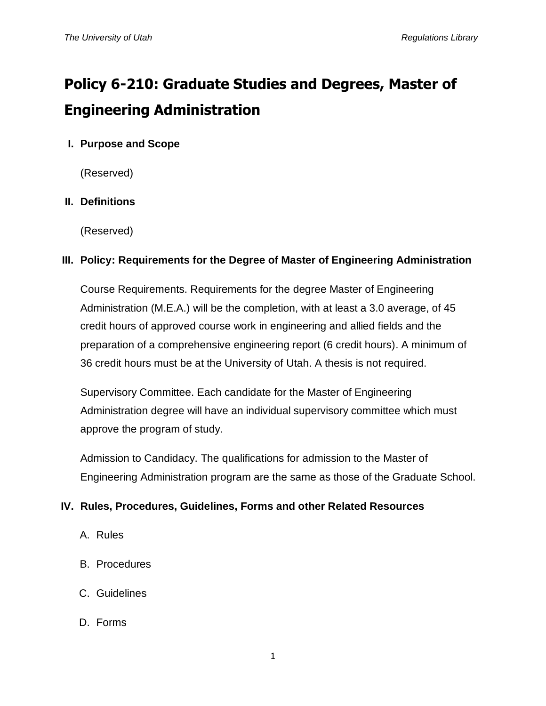# **Policy 6-210: Graduate Studies and Degrees, Master of Engineering Administration**

# **I. Purpose and Scope**

(Reserved)

# **II. Definitions**

(Reserved)

### **III. Policy: Requirements for the Degree of Master of Engineering Administration**

Course Requirements. Requirements for the degree Master of Engineering Administration (M.E.A.) will be the completion, with at least a 3.0 average, of 45 credit hours of approved course work in engineering and allied fields and the preparation of a comprehensive engineering report (6 credit hours). A minimum of 36 credit hours must be at the University of Utah. A thesis is not required.

Supervisory Committee. Each candidate for the Master of Engineering Administration degree will have an individual supervisory committee which must approve the program of study.

Admission to Candidacy. The qualifications for admission to the Master of Engineering Administration program are the same as those of the Graduate School.

# **IV. Rules, Procedures, Guidelines, Forms and other Related Resources**

- A. Rules
- B. Procedures
- C. Guidelines
- D. Forms